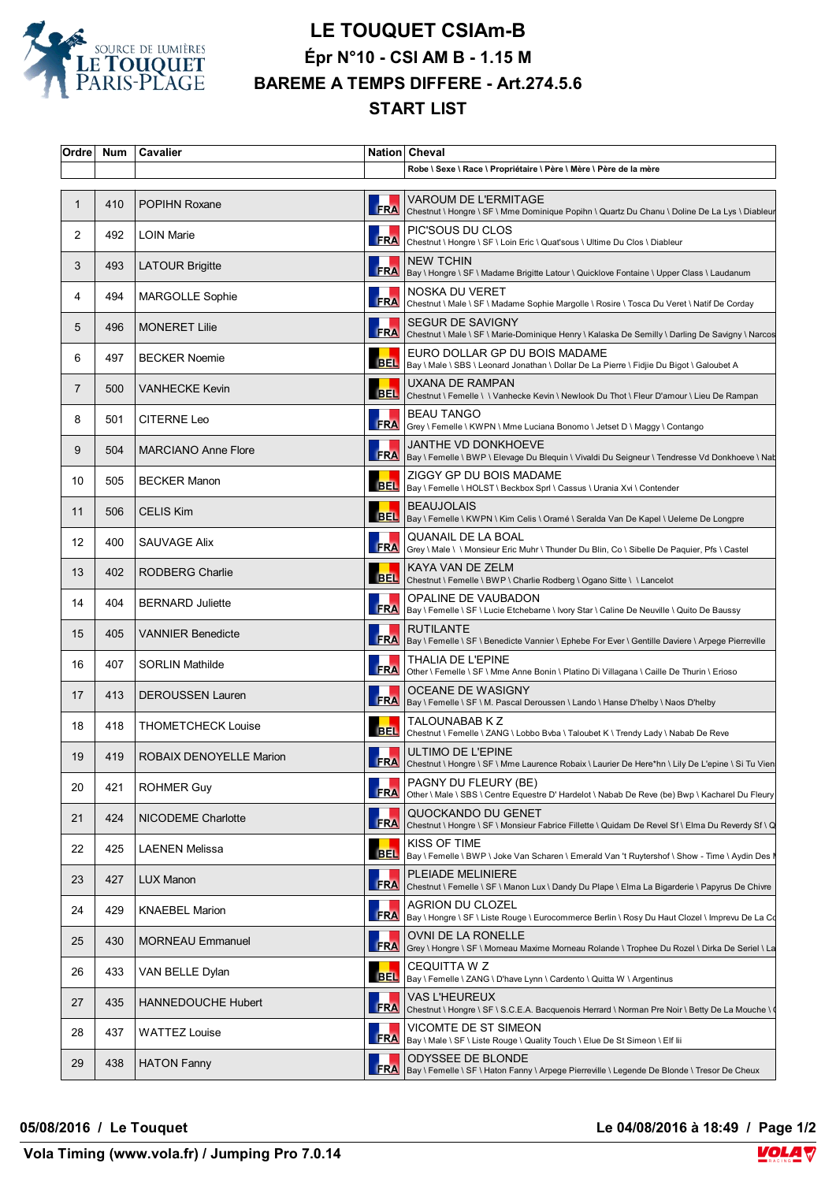

## **LE TOUQUET CSIAm-B Épr N°10 - CSI AM B - 1.15 M BAREME A TEMPS DIFFERE - Art.274.5.6 START LIST**

| Ordre        | <b>Num</b> | <b>Cavalier</b>                |            | Nation Cheval                                                                                                                  |
|--------------|------------|--------------------------------|------------|--------------------------------------------------------------------------------------------------------------------------------|
|              |            |                                |            | Robe \ Sexe \ Race \ Propriétaire \ Père \ Mère \ Père de la mère                                                              |
| $\mathbf{1}$ | 410        | <b>POPIHN Roxane</b>           | <b>FRA</b> | VAROUM DE L'ERMITAGE<br>Chestnut \ Hongre \ SF \ Mme Dominique Popihn \ Quartz Du Chanu \ Doline De La Lys \ Diableur          |
| 2            | 492        | <b>LOIN Marie</b>              |            | PIC'SOUS DU CLOS<br>FRA Chestnut \ Hongre \ SF \ Loin Eric \ Quat'sous \ Ultime Du Clos \ Diableur                             |
| 3            | 493        | <b>LATOUR Brigitte</b>         |            | <b>NEW TCHIN</b><br>FRA   Bay \ Hongre \ SF \ Madame Brigitte Latour \ Quicklove Fontaine \ Upper Class \ Laudanum             |
| 4            | 494        | <b>MARGOLLE Sophie</b>         |            | NOSKA DU VERET<br>FRA Chestnut \ Male \ SF \ Madame Sophie Margolle \ Rosire \ Tosca Du Veret \ Natif De Corday                |
| 5            | 496        | <b>MONERET Lilie</b>           | <b>FRA</b> | <b>SEGUR DE SAVIGNY</b><br>Chestnut \ Male \ SF \ Marie-Dominique Henry \ Kalaska De Semilly \ Darling De Savigny \ Narcos     |
| 6            | 497        | <b>BECKER Noemie</b>           |            | EURO DOLLAR GP DU BOIS MADAME<br>BEL  Bay \ Male \ SBS \ Leonard Jonathan \ Dollar De La Pierre \ Fidjie Du Bigot \ Galoubet A |
| 7            | 500        | <b>VANHECKE Kevin</b>          |            | UXANA DE RAMPAN<br>BEL Chestnut \ Femelle \ \ Vanhecke Kevin \ Newlook Du Thot \ Fleur D'amour \ Lieu De Rampan                |
| 8            | 501        | <b>CITERNE Leo</b>             |            | <b>BEAU TANGO</b><br>FRA   Grey \ Femelle \ KWPN \ Mme Luciana Bonomo \ Jetset D \ Maggy \ Contango                            |
| 9            | 504        | <b>MARCIANO Anne Flore</b>     |            | JANTHE VD DONKHOEVE<br>FRA   Bay \ Femelle \ BWP \ Elevage Du Blequin \ Vivaldi Du Seigneur \ Tendresse Vd Donkhoeve \ Nab     |
| 10           | 505        | <b>BECKER Manon</b>            |            | ZIGGY GP DU BOIS MADAME<br>BEL   Bay \ Femelle \ HOLST \ Beckbox Sprl \ Cassus \ Urania Xvi \ Contender                        |
| 11           | 506        | <b>CELIS Kim</b>               |            | <b>BEAUJOLAIS</b><br>BEL   Bay \ Femelle \ KWPN \ Kim Celis \ Oramé \ Seralda Van De Kapel \ Ueleme De Longpre                 |
| 12           | 400        | SAUVAGE Alix                   |            | <b>QUANAIL DE LA BOAL</b><br>FRA Grey \ Male \ \ Monsieur Eric Muhr \ Thunder Du Blin, Co \ Sibelle De Paquier, Pfs \ Castel   |
| 13           | 402        | RODBERG Charlie                |            | KAYA VAN DE ZELM<br>BEL Chestnut \ Femelle \ BWP \ Charlie Rodberg \ Ogano Sitte \ \ Lancelot                                  |
| 14           | 404        | <b>BERNARD Juliette</b>        |            | OPALINE DE VAUBADON<br>FRA   Bay \ Femelle \ SF \ Lucie Etchebarne \ Ivory Star \ Caline De Neuville \ Quito De Baussy         |
| 15           | 405        | <b>VANNIER Benedicte</b>       |            | <b>RUTILANTE</b><br>FRA   Bay \ Femelle \ SF \ Benedicte Vannier \ Ephebe For Ever \ Gentille Daviere \ Arpege Pierreville     |
| 16           | 407        | <b>SORLIN Mathilde</b>         |            | THALIA DE L'EPINE<br>FRA Other \ Femelle \ SF \ Mme Anne Bonin \ Platino Di Villagana \ Caille De Thurin \ Erioso              |
| 17           | 413        | <b>DEROUSSEN Lauren</b>        |            | OCEANE DE WASIGNY<br>FRA   Bay \ Femelle \ SF \ M. Pascal Deroussen \ Lando \ Hanse D'helby \ Naos D'helby                     |
| 18           | 418        | <b>THOMETCHECK Louise</b>      |            | TALOUNABAB K Z<br>BEL Chestnut \ Femelle \ ZANG \ Lobbo Bvba \ Taloubet K \ Trendy Lady \ Nabab De Reve                        |
| 19           | 419        | <b>ROBAIX DENOYELLE Marion</b> |            | ULTIMO DE L'EPINE<br>FRA Chestnut \ Hongre \ SF \ Mme Laurence Robaix \ Laurier De Here*hn \ Lily De L'epine \ Si Tu Vien      |
| 20           | 421        | <b>ROHMER Guy</b>              | <b>FRA</b> | PAGNY DU FLEURY (BE)<br>Other \ Male \ SBS \ Centre Equestre D' Hardelot \ Nabab De Reve (be) Bwp \ Kacharel Du Fleury         |
| 21           | 424        | NICODEME Charlotte             |            | QUOCKANDO DU GENET<br>FRA Chestnut \ Hongre \ SF \ Monsieur Fabrice Fillette \ Quidam De Revel Sf \ Elma Du Reverdy Sf \ Q     |
| 22           | 425        | <b>LAENEN Melissa</b>          |            | KISS OF TIME<br>BEL Bay \ Femelle \ BWP \ Joke Van Scharen \ Emerald Van 't Ruytershof \ Show - Time \ Aydin Des I             |
| 23           | 427        | <b>LUX Manon</b>               |            | PLEIADE MELINIERE<br>FRA Chestnut \ Femelle \ SF \ Manon Lux \ Dandy Du Plape \ Elma La Bigarderie \ Papyrus De Chivre         |
| 24           | 429        | <b>KNAEBEL Marion</b>          |            | <b>AGRION DU CLOZEL</b><br>FRA Bay \ Hongre \ SF \ Liste Rouge \ Eurocommerce Berlin \ Rosy Du Haut Clozel \ Imprevu De La Co  |
| 25           | 430        | <b>MORNEAU Emmanuel</b>        | <b>FRA</b> | OVNI DE LA RONELLE<br>Grey \ Hongre \ SF \ Morneau Maxime Morneau Rolande \ Trophee Du Rozel \ Dirka De Seriel \ La            |
| 26           | 433        | VAN BELLE Dylan                |            | <b>CEQUITTA W Z</b><br>BEL  Bay \ Femelle \ ZANG \ D'have Lynn \ Cardento \ Quitta W \ Argentinus                              |
| 27           | 435        | <b>HANNEDOUCHE Hubert</b>      | <b>FRA</b> | <b>VAS L'HEUREUX</b><br>Chestnut \ Hongre \ SF \ S.C.E.A. Bacquenois Herrard \ Norman Pre Noir \ Betty De La Mouche \ \        |
| 28           | 437        | <b>WATTEZ Louise</b>           | <b>FRA</b> | VICOMTE DE ST SIMEON<br>Bay \ Male \ SF \ Liste Rouge \ Quality Touch \ Elue De St Simeon \ Elf lii                            |
| 29           | 438        | <b>HATON Fanny</b>             |            | <b>ODYSSEE DE BLONDE</b><br>FRA   Bay \ Femelle \ SF \ Haton Fanny \ Arpege Pierreville \ Legende De Blonde \ Tresor De Cheux  |

**05/08/2016 / Le Touquet Le 04/08/2016 à 18:49 / Page 1/2**